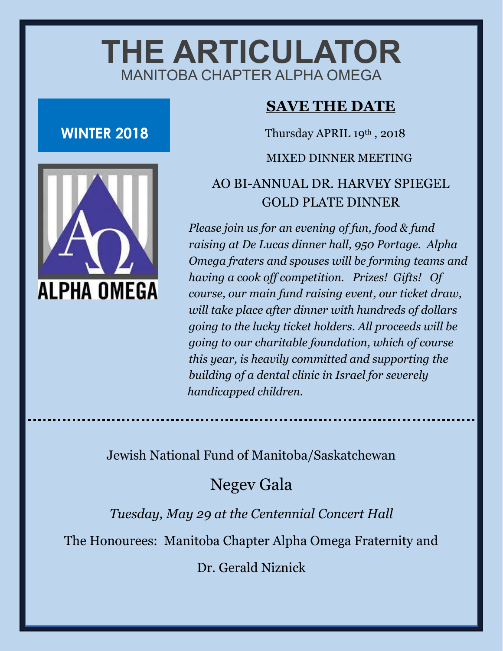# **THE ARTICULATOR** MANITOBA CHAPTER ALPHA OMEGA

## **WINTER 2018**



## **SAVE THE DATE**

Thursday APRIL 19th, 2018

#### MIXED DINNER MEETING

## AO BI-ANNUAL DR. HARVEY SPIEGEL GOLD PLATE DINNER

*Please join us for an evening of fun, food & fund raising at De Lucas dinner hall, 950 Portage. Alpha Omega fraters and spouses will be forming teams and having a cook off competition. Prizes! Gifts! Of course, our main fund raising event, our ticket draw, will take place after dinner with hundreds of dollars going to the lucky ticket holders. All proceeds will be going to our charitable foundation, which of course this year, is heavily committed and supporting the building of a dental clinic in Israel for severely handicapped children.* 

## Jewish National Fund of Manitoba/Saskatchewan

Negev Gala

*Tuesday, May 29 at the Centennial Concert Hall*

The Honourees: Manitoba Chapter Alpha Omega Fraternity and

Dr. Gerald Niznick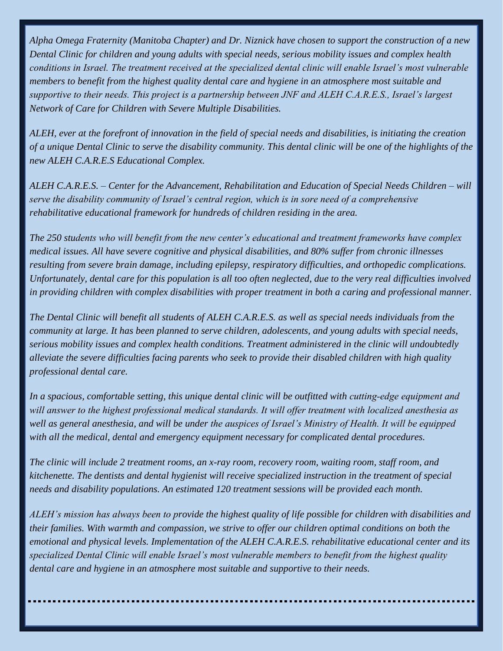*Alpha Omega Fraternity (Manitoba Chapter) and Dr. Niznick have chosen to support the construction of a new Dental Clinic for children and young adults with special needs, serious mobility issues and complex health conditions in Israel. The treatment received at the specialized dental clinic will enable Israel's most vulnerable members to benefit from the highest quality dental care and hygiene in an atmosphere most suitable and supportive to their needs. This project is a partnership between JNF and ALEH C.A.R.E.S., Israel's largest Network of Care for Children with Severe Multiple Disabilities.*

*ALEH, ever at the forefront of innovation in the field of special needs and disabilities, is initiating the creation of a unique Dental Clinic to serve the disability community. This dental clinic will be one of the highlights of the new ALEH C.A.R.E.S Educational Complex.*

*ALEH C.A.R.E.S. – Center for the Advancement, Rehabilitation and Education of Special Needs Children – will serve the disability community of Israel's central region, which is in sore need of a comprehensive rehabilitative educational framework for hundreds of children residing in the area.*

*The 250 students who will benefit from the new center's educational and treatment frameworks have complex medical issues. All have severe cognitive and physical disabilities, and 80% suffer from chronic illnesses resulting from severe brain damage, including epilepsy, respiratory difficulties, and orthopedic complications. Unfortunately, dental care for this population is all too often neglected, due to the very real difficulties involved in providing children with complex disabilities with proper treatment in both a caring and professional manner.*

*The Dental Clinic will benefit all students of ALEH C.A.R.E.S. as well as special needs individuals from the community at large. It has been planned to serve children, adolescents, and young adults with special needs, serious mobility issues and complex health conditions. Treatment administered in the clinic will undoubtedly alleviate the severe difficulties facing parents who seek to provide their disabled children with high quality professional dental care.*

In a spacious, comfortable setting, this unique dental clinic will be outfitted with cutting-edge equipment and *will answer to the highest professional medical standards. It will offer treatment with localized anesthesia as well as general anesthesia, and will be under the auspices of Israel's Ministry of Health. It will be equipped with all the medical, dental and emergency equipment necessary for complicated dental procedures.*

*The clinic will include 2 treatment rooms, an x-ray room, recovery room, waiting room, staff room, and kitchenette. The dentists and dental hygienist will receive specialized instruction in the treatment of special needs and disability populations. An estimated 120 treatment sessions will be provided each month.*

*ALEH's mission has always been to provide the highest quality of life possible for children with disabilities and their families. With warmth and compassion, we strive to offer our children optimal conditions on both the emotional and physical levels. Implementation of the ALEH C.A.R.E.S. rehabilitative educational center and its specialized Dental Clinic will enable Israel's most vulnerable members to benefit from the highest quality dental care and hygiene in an atmosphere most suitable and supportive to their needs.*